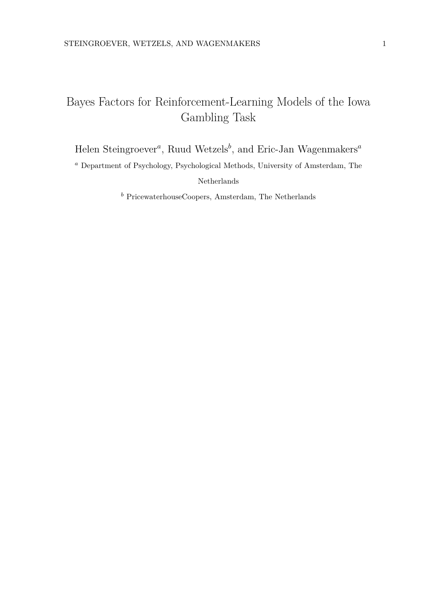# Bayes Factors for Reinforcement-Learning Models of the Iowa Gambling Task

Helen Steingroever*<sup>a</sup>* , Ruud Wetzels*<sup>b</sup>* , and Eric-Jan Wagenmakers*<sup>a</sup>*

*<sup>a</sup>* Department of Psychology, Psychological Methods, University of Amsterdam, The Netherlands

*<sup>b</sup>* PricewaterhouseCoopers, Amsterdam, The Netherlands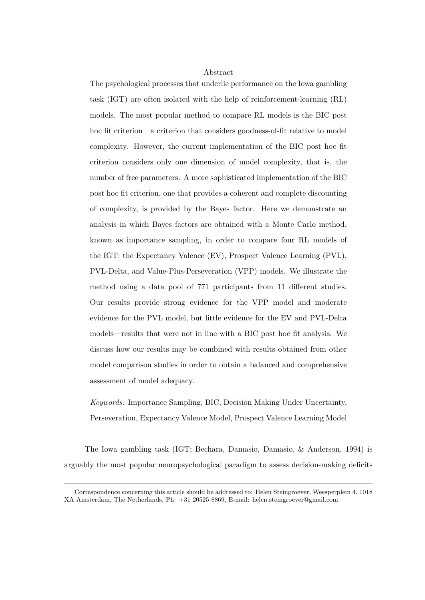## Abstract

The psychological processes that underlie performance on the Iowa gambling task (IGT) are often isolated with the help of reinforcement-learning (RL) models. The most popular method to compare RL models is the BIC post hoc fit criterion—a criterion that considers goodness-of-fit relative to model complexity. However, the current implementation of the BIC post hoc fit criterion considers only one dimension of model complexity, that is, the number of free parameters. A more sophisticated implementation of the BIC post hoc fit criterion, one that provides a coherent and complete discounting of complexity, is provided by the Bayes factor. Here we demonstrate an analysis in which Bayes factors are obtained with a Monte Carlo method, known as importance sampling, in order to compare four RL models of the IGT: the Expectancy Valence (EV), Prospect Valence Learning (PVL), PVL-Delta, and Value-Plus-Perseveration (VPP) models. We illustrate the method using a data pool of 771 participants from 11 different studies. Our results provide strong evidence for the VPP model and moderate evidence for the PVL model, but little evidence for the EV and PVL-Delta models—results that were not in line with a BIC post hoc fit analysis. We discuss how our results may be combined with results obtained from other model comparison studies in order to obtain a balanced and comprehensive assessment of model adequacy.

*Keywords:* Importance Sampling, BIC, Decision Making Under Uncertainty, Perseveration, Expectancy Valence Model, Prospect Valence Learning Model

The Iowa gambling task (IGT; Bechara, Damasio, Damasio, & Anderson, 1994) is arguably the most popular neuropsychological paradigm to assess decision-making deficits

Correspondence concerning this article should be addressed to: Helen Steingroever, Weesperplein 4, 1018 XA Amsterdam, The Netherlands, Ph: +31 20525 8869, E-mail: helen.steingroever@gmail.com.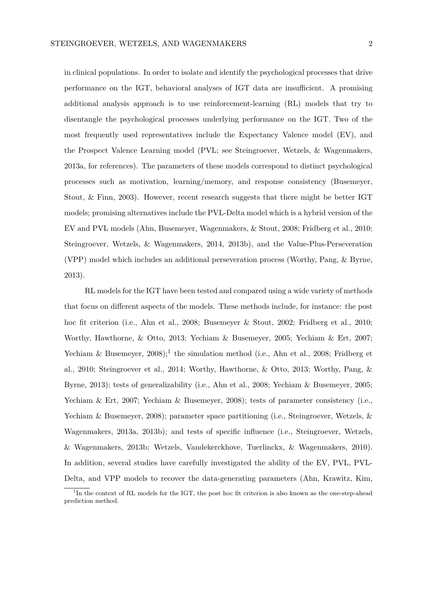in clinical populations. In order to isolate and identify the psychological processes that drive performance on the IGT, behavioral analyses of IGT data are insufficient. A promising additional analysis approach is to use reinforcement-learning (RL) models that try to disentangle the psychological processes underlying performance on the IGT. Two of the most frequently used representatives include the Expectancy Valence model (EV), and the Prospect Valence Learning model (PVL; see Steingroever, Wetzels, & Wagenmakers, 2013a, for references). The parameters of these models correspond to distinct psychological processes such as motivation, learning/memory, and response consistency (Busemeyer, Stout, & Finn, 2003). However, recent research suggests that there might be better IGT models; promising alternatives include the PVL-Delta model which is a hybrid version of the EV and PVL models (Ahn, Busemeyer, Wagenmakers, & Stout, 2008; Fridberg et al., 2010; Steingroever, Wetzels, & Wagenmakers, 2014, 2013b), and the Value-Plus-Perseveration (VPP) model which includes an additional perseveration process (Worthy, Pang, & Byrne, 2013).

RL models for the IGT have been tested and compared using a wide variety of methods that focus on different aspects of the models. These methods include, for instance: the post hoc fit criterion (i.e., Ahn et al., 2008; Busemeyer & Stout, 2002; Fridberg et al., 2010; Worthy, Hawthorne, & Otto, 2013; Yechiam & Busemeyer, 2005; Yechiam & Ert, 2007; Yechiam & Busemeyer,  $2008$ ;<sup>1</sup> the simulation method (i.e., Ahn et al., 2008; Fridberg et al., 2010; Steingroever et al., 2014; Worthy, Hawthorne, & Otto, 2013; Worthy, Pang, & Byrne, 2013); tests of generalizability (i.e., Ahn et al., 2008; Yechiam & Busemeyer, 2005; Yechiam & Ert, 2007; Yechiam & Busemeyer, 2008); tests of parameter consistency (i.e., Yechiam & Busemeyer, 2008); parameter space partitioning (i.e., Steingroever, Wetzels, & Wagenmakers, 2013a, 2013b); and tests of specific influence (i.e., Steingroever, Wetzels, & Wagenmakers, 2013b; Wetzels, Vandekerckhove, Tuerlinckx, & Wagenmakers, 2010). In addition, several studies have carefully investigated the ability of the EV, PVL, PVL-Delta, and VPP models to recover the data-generating parameters (Ahn, Krawitz, Kim,

<sup>&</sup>lt;sup>1</sup>In the context of RL models for the IGT, the post hoc fit criterion is also known as the one-step-ahead prediction method.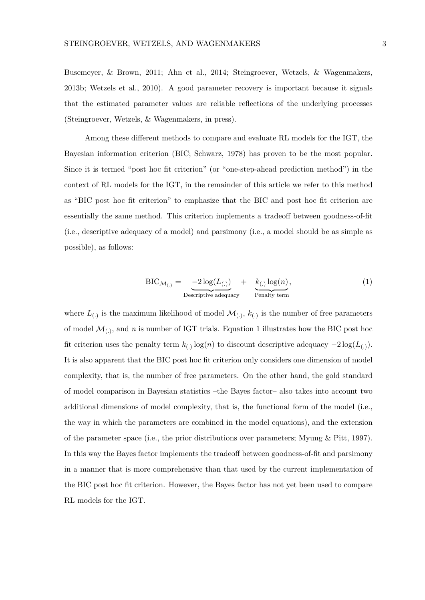Busemeyer, & Brown, 2011; Ahn et al., 2014; Steingroever, Wetzels, & Wagenmakers, 2013b; Wetzels et al., 2010). A good parameter recovery is important because it signals that the estimated parameter values are reliable reflections of the underlying processes (Steingroever, Wetzels, & Wagenmakers, in press).

Among these different methods to compare and evaluate RL models for the IGT, the Bayesian information criterion (BIC; Schwarz, 1978) has proven to be the most popular. Since it is termed "post hoc fit criterion" (or "one-step-ahead prediction method") in the context of RL models for the IGT, in the remainder of this article we refer to this method as "BIC post hoc fit criterion" to emphasize that the BIC and post hoc fit criterion are essentially the same method. This criterion implements a tradeoff between goodness-of-fit (i.e., descriptive adequacy of a model) and parsimony (i.e., a model should be as simple as possible), as follows:

$$
BIC_{\mathcal{M}_{(.)}} = \underbrace{-2 \log(L_{(.)})}_{\text{Descriptive adequacy}} + \underbrace{k_{(.)} \log(n)}_{\text{Penalty term}}, \tag{1}
$$

where  $L_{(.)}$  is the maximum likelihood of model  $\mathcal{M}_{(.)}$ ,  $k_{(.)}$  is the number of free parameters of model  $\mathcal{M}_{(.)}$ , and *n* is number of IGT trials. Equation 1 illustrates how the BIC post hoc fit criterion uses the penalty term  $k_{(.)} \log(n)$  to discount descriptive adequacy  $-2 \log(L_{(.)})$ . It is also apparent that the BIC post hoc fit criterion only considers one dimension of model complexity, that is, the number of free parameters. On the other hand, the gold standard of model comparison in Bayesian statistics –the Bayes factor– also takes into account two additional dimensions of model complexity, that is, the functional form of the model (i.e., the way in which the parameters are combined in the model equations), and the extension of the parameter space (i.e., the prior distributions over parameters; Myung & Pitt, 1997). In this way the Bayes factor implements the tradeoff between goodness-of-fit and parsimony in a manner that is more comprehensive than that used by the current implementation of the BIC post hoc fit criterion. However, the Bayes factor has not yet been used to compare RL models for the IGT.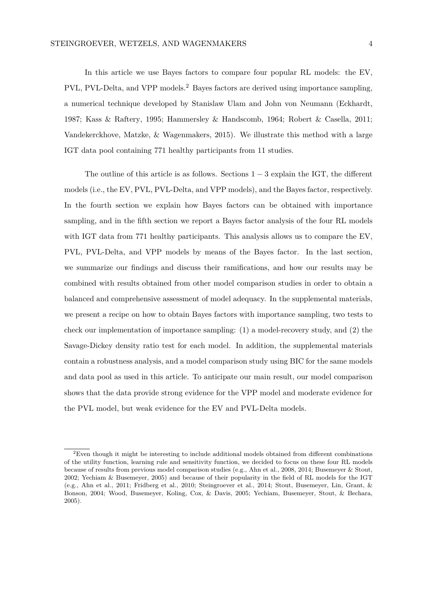In this article we use Bayes factors to compare four popular RL models: the EV, PVL, PVL-Delta, and VPP models.<sup>2</sup> Bayes factors are derived using importance sampling, a numerical technique developed by Stanislaw Ulam and John von Neumann (Eckhardt, 1987; Kass & Raftery, 1995; Hammersley & Handscomb, 1964; Robert & Casella, 2011; Vandekerckhove, Matzke, & Wagenmakers, 2015). We illustrate this method with a large IGT data pool containing 771 healthy participants from 11 studies.

The outline of this article is as follows. Sections  $1-3$  explain the IGT, the different models (i.e., the EV, PVL, PVL-Delta, and VPP models), and the Bayes factor, respectively. In the fourth section we explain how Bayes factors can be obtained with importance sampling, and in the fifth section we report a Bayes factor analysis of the four RL models with IGT data from 771 healthy participants. This analysis allows us to compare the EV, PVL, PVL-Delta, and VPP models by means of the Bayes factor. In the last section, we summarize our findings and discuss their ramifications, and how our results may be combined with results obtained from other model comparison studies in order to obtain a balanced and comprehensive assessment of model adequacy. In the supplemental materials, we present a recipe on how to obtain Bayes factors with importance sampling, two tests to check our implementation of importance sampling: (1) a model-recovery study, and (2) the Savage-Dickey density ratio test for each model. In addition, the supplemental materials contain a robustness analysis, and a model comparison study using BIC for the same models and data pool as used in this article. To anticipate our main result, our model comparison shows that the data provide strong evidence for the VPP model and moderate evidence for the PVL model, but weak evidence for the EV and PVL-Delta models.

 $2$ Even though it might be interesting to include additional models obtained from different combinations of the utility function, learning rule and sensitivity function, we decided to focus on these four RL models because of results from previous model comparison studies (e.g., Ahn et al., 2008, 2014; Busemeyer & Stout, 2002; Yechiam & Busemeyer, 2005) and because of their popularity in the field of RL models for the IGT (e.g., Ahn et al., 2011; Fridberg et al., 2010; Steingroever et al., 2014; Stout, Busemeyer, Lin, Grant, & Bonson, 2004; Wood, Busemeyer, Koling, Cox, & Davis, 2005; Yechiam, Busemeyer, Stout, & Bechara, 2005).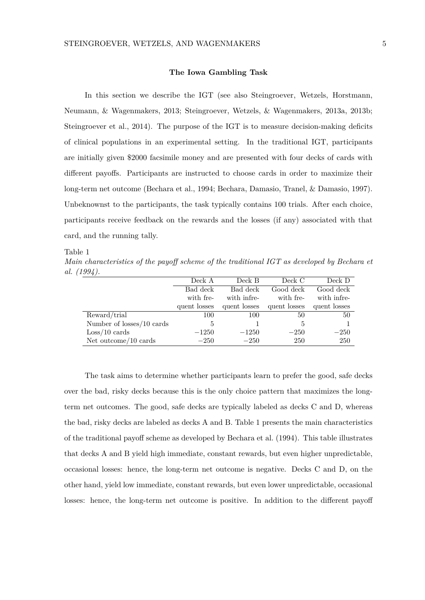## **The Iowa Gambling Task**

In this section we describe the IGT (see also Steingroever, Wetzels, Horstmann, Neumann, & Wagenmakers, 2013; Steingroever, Wetzels, & Wagenmakers, 2013a, 2013b; Steingroever et al., 2014). The purpose of the IGT is to measure decision-making deficits of clinical populations in an experimental setting. In the traditional IGT, participants are initially given \$2000 facsimile money and are presented with four decks of cards with different payoffs. Participants are instructed to choose cards in order to maximize their long-term net outcome (Bechara et al., 1994; Bechara, Damasio, Tranel, & Damasio, 1997). Unbeknownst to the participants, the task typically contains 100 trials. After each choice, participants receive feedback on the rewards and the losses (if any) associated with that card, and the running tally.

Table 1

*Main characteristics of the payoff scheme of the traditional IGT as developed by Bechara et al. (1994).*

|                                | Deck A       | Deck B       | Deck C       | Deck D       |
|--------------------------------|--------------|--------------|--------------|--------------|
|                                | Bad deck     | Bad deck     | Good deck    | Good deck    |
|                                | with fre-    | with infre-  | with fre-    | with infre-  |
|                                | quent losses | quent losses | quent losses | quent losses |
| Reward/trial                   | 100          | 100          | 50           | 50           |
| Number of losses/10 cards      | 5            |              | 5            |              |
| $\text{Loss}/10 \text{ cards}$ | $-1250$      | $-1250$      | $-250$       | $-250$       |
| Net outcome/ $10$ cards        | $-250$       | $-250$       | 250          | 250          |

The task aims to determine whether participants learn to prefer the good, safe decks over the bad, risky decks because this is the only choice pattern that maximizes the longterm net outcomes. The good, safe decks are typically labeled as decks C and D, whereas the bad, risky decks are labeled as decks A and B. Table 1 presents the main characteristics of the traditional payoff scheme as developed by Bechara et al. (1994). This table illustrates that decks A and B yield high immediate, constant rewards, but even higher unpredictable, occasional losses: hence, the long-term net outcome is negative. Decks C and D, on the other hand, yield low immediate, constant rewards, but even lower unpredictable, occasional losses: hence, the long-term net outcome is positive. In addition to the different payoff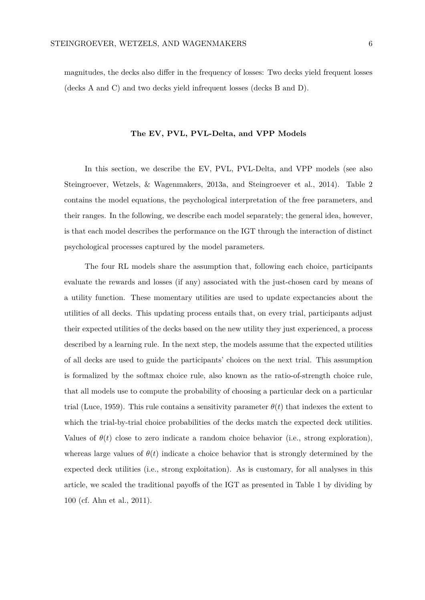magnitudes, the decks also differ in the frequency of losses: Two decks yield frequent losses (decks A and C) and two decks yield infrequent losses (decks B and D).

#### **The EV, PVL, PVL-Delta, and VPP Models**

In this section, we describe the EV, PVL, PVL-Delta, and VPP models (see also Steingroever, Wetzels, & Wagenmakers, 2013a, and Steingroever et al., 2014). Table 2 contains the model equations, the psychological interpretation of the free parameters, and their ranges. In the following, we describe each model separately; the general idea, however, is that each model describes the performance on the IGT through the interaction of distinct psychological processes captured by the model parameters.

The four RL models share the assumption that, following each choice, participants evaluate the rewards and losses (if any) associated with the just-chosen card by means of a utility function. These momentary utilities are used to update expectancies about the utilities of all decks. This updating process entails that, on every trial, participants adjust their expected utilities of the decks based on the new utility they just experienced, a process described by a learning rule. In the next step, the models assume that the expected utilities of all decks are used to guide the participants' choices on the next trial. This assumption is formalized by the softmax choice rule, also known as the ratio-of-strength choice rule, that all models use to compute the probability of choosing a particular deck on a particular trial (Luce, 1959). This rule contains a sensitivity parameter  $\theta(t)$  that indexes the extent to which the trial-by-trial choice probabilities of the decks match the expected deck utilities. Values of  $\theta(t)$  close to zero indicate a random choice behavior (i.e., strong exploration), whereas large values of  $\theta(t)$  indicate a choice behavior that is strongly determined by the expected deck utilities (i.e., strong exploitation). As is customary, for all analyses in this article, we scaled the traditional payoffs of the IGT as presented in Table 1 by dividing by 100 (cf. Ahn et al., 2011).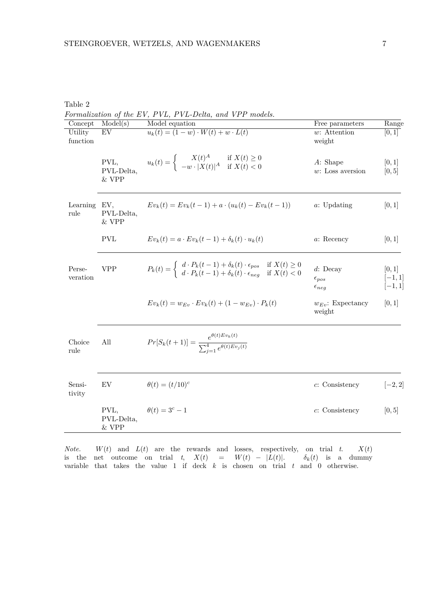| Concept             | Model(s)                      | Model equation                                                                                                                                                                                | Free parameters                                     | Range                           |
|---------------------|-------------------------------|-----------------------------------------------------------------------------------------------------------------------------------------------------------------------------------------------|-----------------------------------------------------|---------------------------------|
| Utility<br>function | EV                            | $u_k(t) = (1 - w) \cdot W(t) + w \cdot L(t)$                                                                                                                                                  | $w$ : Attention<br>weight                           | [0, 1]                          |
|                     | PVL,<br>PVL-Delta,<br>$&$ VPP | $u_k(t) = \begin{cases} X(t)^A & \text{if } X(t) \ge 0 \\ -w \cdot  X(t) ^A & \text{if } X(t) < 0 \end{cases}$                                                                                | A: Shape<br>$w$ : Loss aversion                     | [0, 1]<br>[0, 5]                |
| Learning<br>rule    | EV,<br>PVL-Delta,<br>$&$ VPP  | $Ev_k(t) = Ev_k(t-1) + a \cdot (u_k(t) - Ev_k(t-1))$                                                                                                                                          | $a:$ Updating                                       | [0, 1]                          |
|                     | <b>PVL</b>                    | $Ev_k(t) = a \cdot Ev_k(t-1) + \delta_k(t) \cdot u_k(t)$                                                                                                                                      | a: Recency                                          | [0,1]                           |
| Perse-<br>veration  | <b>VPP</b>                    | $P_k(t) = \begin{cases} d \cdot P_k(t-1) + \delta_k(t) \cdot \epsilon_{pos} & \text{if } X(t) \ge 0 \\ d \cdot P_k(t-1) + \delta_k(t) \cdot \epsilon_{neg} & \text{if } X(t) < 0 \end{cases}$ | $d$ : Decay<br>$\epsilon_{pos}$<br>$\epsilon_{neg}$ | [0,1]<br>$[-1, 1]$<br>$[-1, 1]$ |
|                     |                               | $Ev_k(t) = w_{Ev} \cdot Ev_k(t) + (1 - w_{Ev}) \cdot P_k(t)$                                                                                                                                  | $w_{Ev}$ : Expectancy<br>weight                     | [0, 1]                          |
| Choice<br>rule      | All                           | $Pr[S_k(t+1)] = \frac{e^{\theta(t)Ev_k(t)}}{\sum_{i=1}^4 e^{\theta(t)Ev_j(t)}}$                                                                                                               |                                                     |                                 |
| Sensi-<br>tivity    | EV                            | $\theta(t) = (t/10)^c$                                                                                                                                                                        | $c$ : Consistency                                   | $[-2, 2]$                       |
|                     | PVL,<br>PVL-Delta,<br>& VPP   | $\theta(t) = 3^c - 1$                                                                                                                                                                         | $c$ : Consistency                                   | [0,5]                           |

Table 2

*Note.*  $W(t)$  and  $L(t)$  are the rewards and losses, respectively, on trial *t.*  $X(t)$ is the net outcome on trial  $t$ ,  $X(t) = W(t) - |L(t)|$ .  $\delta_k(t)$  is a dummy variable that takes the value 1 if deck *k* is chosen on trial *t* and 0 otherwise.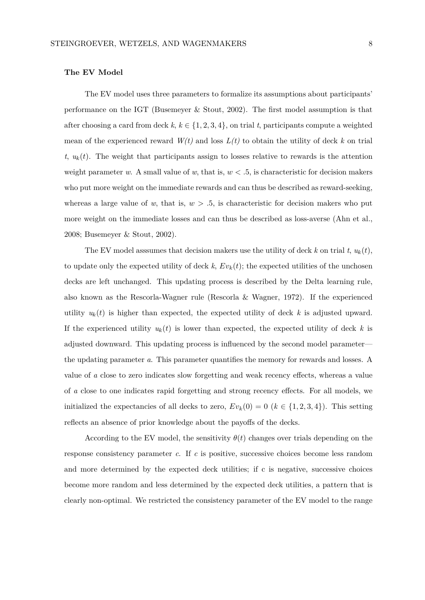# **The EV Model**

The EV model uses three parameters to formalize its assumptions about participants' performance on the IGT (Busemeyer & Stout, 2002). The first model assumption is that after choosing a card from deck  $k, k \in \{1, 2, 3, 4\}$ , on trial  $t$ , participants compute a weighted mean of the experienced reward  $W(t)$  and loss  $L(t)$  to obtain the utility of deck k on trial  $t, u_k(t)$ . The weight that participants assign to losses relative to rewards is the attention weight parameter *w*. A small value of *w*, that is, *w < .*5, is characteristic for decision makers who put more weight on the immediate rewards and can thus be described as reward-seeking, whereas a large value of  $w$ , that is,  $w > 0.5$ , is characteristic for decision makers who put more weight on the immediate losses and can thus be described as loss-averse (Ahn et al., 2008; Busemeyer & Stout, 2002).

The EV model asssumes that decision makers use the utility of deck k on trial  $t$ ,  $u_k(t)$ , to update only the expected utility of deck  $k$ ,  $Ev_k(t)$ ; the expected utilities of the unchosen decks are left unchanged. This updating process is described by the Delta learning rule, also known as the Rescorla-Wagner rule (Rescorla & Wagner, 1972). If the experienced utility  $u_k(t)$  is higher than expected, the expected utility of deck k is adjusted upward. If the experienced utility  $u_k(t)$  is lower than expected, the expected utility of deck k is adjusted downward. This updating process is influenced by the second model parameter the updating parameter *a*. This parameter quantifies the memory for rewards and losses. A value of *a* close to zero indicates slow forgetting and weak recency effects, whereas a value of *a* close to one indicates rapid forgetting and strong recency effects. For all models, we initialized the expectancies of all decks to zero,  $Ev_k(0) = 0$  ( $k \in \{1, 2, 3, 4\}$ ). This setting reflects an absence of prior knowledge about the payoffs of the decks.

According to the EV model, the sensitivity  $\theta(t)$  changes over trials depending on the response consistency parameter *c*. If *c* is positive, successive choices become less random and more determined by the expected deck utilities; if c is negative, successive choices become more random and less determined by the expected deck utilities, a pattern that is clearly non-optimal. We restricted the consistency parameter of the EV model to the range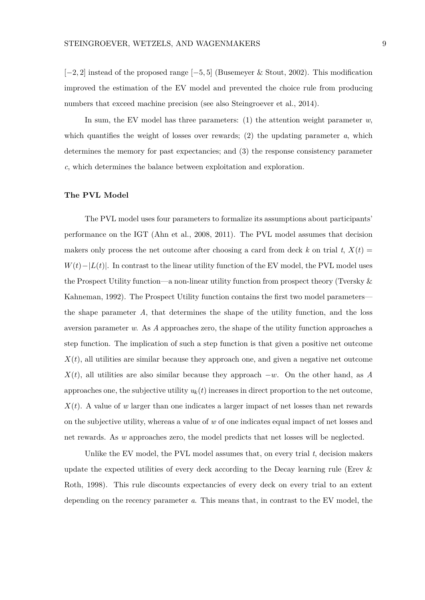[−2*,* 2] instead of the proposed range [−5*,* 5] (Busemeyer & Stout, 2002). This modification improved the estimation of the EV model and prevented the choice rule from producing numbers that exceed machine precision (see also Steingroever et al., 2014).

In sum, the EV model has three parameters:  $(1)$  the attention weight parameter  $w$ , which quantifies the weight of losses over rewards; (2) the updating parameter *a*, which determines the memory for past expectancies; and (3) the response consistency parameter *c*, which determines the balance between exploitation and exploration.

## **The PVL Model**

The PVL model uses four parameters to formalize its assumptions about participants' performance on the IGT (Ahn et al., 2008, 2011). The PVL model assumes that decision makers only process the net outcome after choosing a card from deck k on trial t,  $X(t)$  =  $W(t) - |L(t)|$ . In contrast to the linear utility function of the EV model, the PVL model uses the Prospect Utility function—a non-linear utility function from prospect theory (Tversky & Kahneman, 1992). The Prospect Utility function contains the first two model parameters the shape parameter *A*, that determines the shape of the utility function, and the loss aversion parameter *w*. As *A* approaches zero, the shape of the utility function approaches a step function. The implication of such a step function is that given a positive net outcome  $X(t)$ , all utilities are similar because they approach one, and given a negative net outcome  $X(t)$ , all utilities are also similar because they approach  $-w$ . On the other hand, as *A* approaches one, the subjective utility  $u_k(t)$  increases in direct proportion to the net outcome,  $X(t)$ . A value of *w* larger than one indicates a larger impact of net losses than net rewards on the subjective utility, whereas a value of *w* of one indicates equal impact of net losses and net rewards. As *w* approaches zero, the model predicts that net losses will be neglected.

Unlike the EV model, the PVL model assumes that, on every trial *t*, decision makers update the expected utilities of every deck according to the Decay learning rule (Erev & Roth, 1998). This rule discounts expectancies of every deck on every trial to an extent depending on the recency parameter *a*. This means that, in contrast to the EV model, the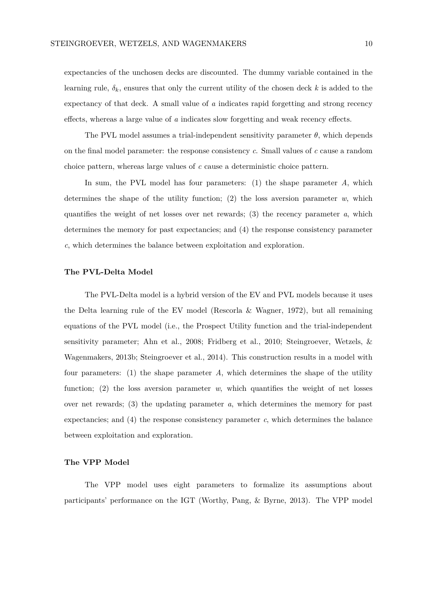expectancies of the unchosen decks are discounted. The dummy variable contained in the learning rule,  $\delta_k$ , ensures that only the current utility of the chosen deck  $k$  is added to the expectancy of that deck. A small value of *a* indicates rapid forgetting and strong recency effects, whereas a large value of *a* indicates slow forgetting and weak recency effects.

The PVL model assumes a trial-independent sensitivity parameter  $\theta$ , which depends on the final model parameter: the response consistency *c*. Small values of *c* cause a random choice pattern, whereas large values of *c* cause a deterministic choice pattern.

In sum, the PVL model has four parameters: (1) the shape parameter *A*, which determines the shape of the utility function; (2) the loss aversion parameter *w*, which quantifies the weight of net losses over net rewards; (3) the recency parameter *a*, which determines the memory for past expectancies; and (4) the response consistency parameter *c*, which determines the balance between exploitation and exploration.

## **The PVL-Delta Model**

The PVL-Delta model is a hybrid version of the EV and PVL models because it uses the Delta learning rule of the EV model (Rescorla & Wagner, 1972), but all remaining equations of the PVL model (i.e., the Prospect Utility function and the trial-independent sensitivity parameter; Ahn et al., 2008; Fridberg et al., 2010; Steingroever, Wetzels, & Wagenmakers, 2013b; Steingroever et al., 2014). This construction results in a model with four parameters: (1) the shape parameter *A*, which determines the shape of the utility function; (2) the loss aversion parameter  $w$ , which quantifies the weight of net losses over net rewards; (3) the updating parameter *a*, which determines the memory for past expectancies; and (4) the response consistency parameter *c*, which determines the balance between exploitation and exploration.

## **The VPP Model**

The VPP model uses eight parameters to formalize its assumptions about participants' performance on the IGT (Worthy, Pang, & Byrne, 2013). The VPP model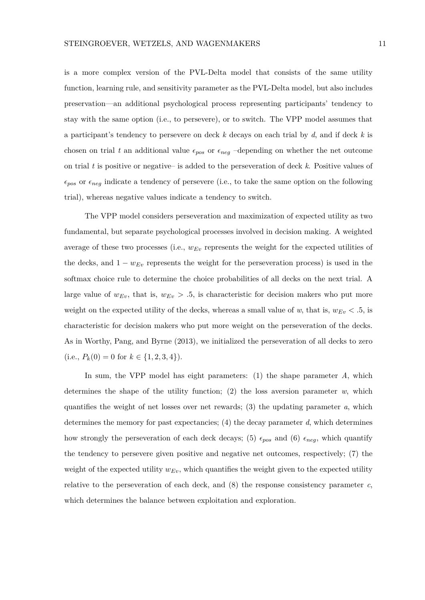is a more complex version of the PVL-Delta model that consists of the same utility function, learning rule, and sensitivity parameter as the PVL-Delta model, but also includes preservation—an additional psychological process representing participants' tendency to stay with the same option (i.e., to persevere), or to switch. The VPP model assumes that a participant's tendency to persevere on deck *k* decays on each trial by *d*, and if deck *k* is chosen on trial t an additional value  $\epsilon_{pos}$  or  $\epsilon_{neg}$  –depending on whether the net outcome on trial *t* is positive or negative– is added to the perseveration of deck *k*. Positive values of  $\epsilon_{pos}$  or  $\epsilon_{neg}$  indicate a tendency of persevere (i.e., to take the same option on the following trial), whereas negative values indicate a tendency to switch.

The VPP model considers perseveration and maximization of expected utility as two fundamental, but separate psychological processes involved in decision making. A weighted average of these two processes (i.e., *wEv* represents the weight for the expected utilities of the decks, and  $1 - w_{Ev}$  represents the weight for the perseveration process) is used in the softmax choice rule to determine the choice probabilities of all decks on the next trial. A large value of  $w_{Ev}$ , that is,  $w_{Ev} > .5$ , is characteristic for decision makers who put more weight on the expected utility of the decks, whereas a small value of *w*, that is,  $w_{Ev} < .5$ , is characteristic for decision makers who put more weight on the perseveration of the decks. As in Worthy, Pang, and Byrne (2013), we initialized the perseveration of all decks to zero (i.e.,  $P_k(0) = 0$  for  $k \in \{1, 2, 3, 4\}$ ).

In sum, the VPP model has eight parameters: (1) the shape parameter *A*, which determines the shape of the utility function; (2) the loss aversion parameter *w*, which quantifies the weight of net losses over net rewards;  $(3)$  the updating parameter *a*, which determines the memory for past expectancies; (4) the decay parameter *d*, which determines how strongly the perseveration of each deck decays; (5)  $\epsilon_{pos}$  and (6)  $\epsilon_{neg}$ , which quantify the tendency to persevere given positive and negative net outcomes, respectively; (7) the weight of the expected utility  $w_{Ev}$ , which quantifies the weight given to the expected utility relative to the perseveration of each deck, and (8) the response consistency parameter *c*, which determines the balance between exploitation and exploration.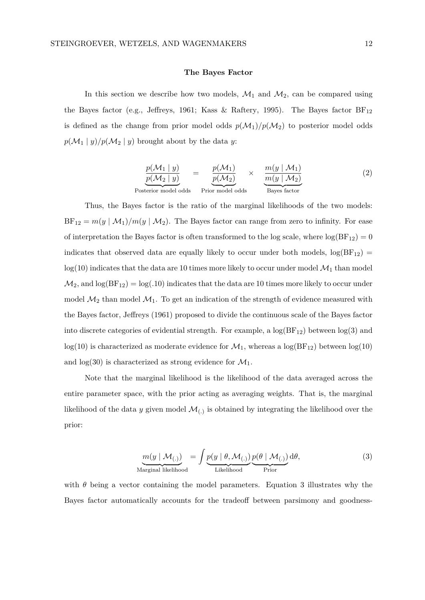#### **The Bayes Factor**

In this section we describe how two models,  $\mathcal{M}_1$  and  $\mathcal{M}_2$ , can be compared using the Bayes factor (e.g., Jeffreys, 1961; Kass & Raftery, 1995). The Bayes factor  $BF_{12}$ is defined as the change from prior model odds  $p(\mathcal{M}_1)/p(\mathcal{M}_2)$  to posterior model odds  $p(\mathcal{M}_1 | y)/p(\mathcal{M}_2 | y)$  brought about by the data *y*:

$$
\frac{p(\mathcal{M}_1 \mid y)}{p(\mathcal{M}_2 \mid y)} = \underbrace{\frac{p(\mathcal{M}_1)}{p(\mathcal{M}_2)}}_{\text{Prior model odds}} \times \underbrace{\frac{m(y \mid \mathcal{M}_1)}{m(y \mid \mathcal{M}_2)}}_{\text{Bayes factor}}
$$
\n(2)

Thus, the Bayes factor is the ratio of the marginal likelihoods of the two models:  $BF_{12} = m(y \mid M_1)/m(y \mid M_2)$ . The Bayes factor can range from zero to infinity. For ease of interpretation the Bayes factor is often transformed to the log scale, where  $log(BF_{12}) = 0$ indicates that observed data are equally likely to occur under both models,  $log(BF_{12})$  =  $log(10)$  indicates that the data are 10 times more likely to occur under model  $\mathcal{M}_1$  than model  $\mathcal{M}_2$ , and  $\log(BF_{12}) = \log(.10)$  indicates that the data are 10 times more likely to occur under model  $\mathcal{M}_2$  than model  $\mathcal{M}_1$ . To get an indication of the strength of evidence measured with the Bayes factor, Jeffreys (1961) proposed to divide the continuous scale of the Bayes factor into discrete categories of evidential strength. For example, a  $log(BF_{12})$  between  $log(3)$  and  $log(10)$  is characterized as moderate evidence for  $\mathcal{M}_1$ , whereas a  $log(BF_{12})$  between  $log(10)$ and  $log(30)$  is characterized as strong evidence for  $\mathcal{M}_1$ .

Note that the marginal likelihood is the likelihood of the data averaged across the entire parameter space, with the prior acting as averaging weights. That is, the marginal likelihood of the data  $y$  given model  $\mathcal{M}_{(.)}$  is obtained by integrating the likelihood over the prior:

$$
\underline{m(y \mid \mathcal{M}_{(.)})}_{\text{Marginal likelihood}} = \int \underline{p(y \mid \theta, \mathcal{M}_{(.)})}_{\text{Likelihood}} \underline{p(\theta \mid \mathcal{M}_{(.)})}_{\text{Prior}} d\theta,
$$
\n(3)

with  $\theta$  being a vector containing the model parameters. Equation 3 illustrates why the Bayes factor automatically accounts for the tradeoff between parsimony and goodness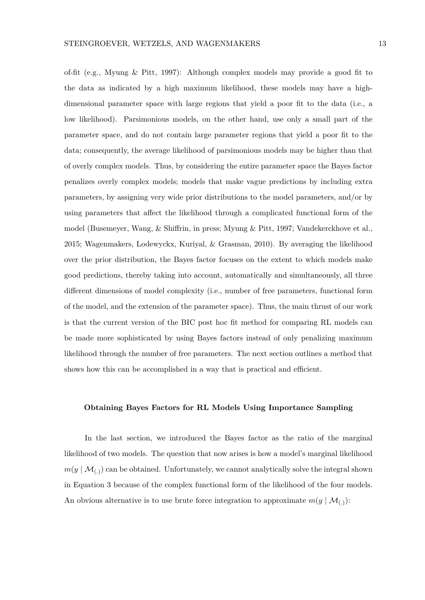of-fit (e.g., Myung & Pitt, 1997): Although complex models may provide a good fit to the data as indicated by a high maximum likelihood, these models may have a highdimensional parameter space with large regions that yield a poor fit to the data (i.e., a low likelihood). Parsimonious models, on the other hand, use only a small part of the parameter space, and do not contain large parameter regions that yield a poor fit to the data; consequently, the average likelihood of parsimonious models may be higher than that of overly complex models. Thus, by considering the entire parameter space the Bayes factor penalizes overly complex models; models that make vague predictions by including extra parameters, by assigning very wide prior distributions to the model parameters, and/or by using parameters that affect the likelihood through a complicated functional form of the model (Busemeyer, Wang, & Shiffrin, in press; Myung & Pitt, 1997; Vandekerckhove et al., 2015; Wagenmakers, Lodewyckx, Kuriyal, & Grasman, 2010). By averaging the likelihood over the prior distribution, the Bayes factor focuses on the extent to which models make good predictions, thereby taking into account, automatically and simultaneously, all three different dimensions of model complexity (i.e., number of free parameters, functional form of the model, and the extension of the parameter space). Thus, the main thrust of our work is that the current version of the BIC post hoc fit method for comparing RL models can be made more sophisticated by using Bayes factors instead of only penalizing maximum likelihood through the number of free parameters. The next section outlines a method that shows how this can be accomplished in a way that is practical and efficient.

#### **Obtaining Bayes Factors for RL Models Using Importance Sampling**

In the last section, we introduced the Bayes factor as the ratio of the marginal likelihood of two models. The question that now arises is how a model's marginal likelihood  $m(y \mid \mathcal{M}_{(.)})$  can be obtained. Unfortunately, we cannot analytically solve the integral shown in Equation 3 because of the complex functional form of the likelihood of the four models. An obvious alternative is to use brute force integration to approximate  $m(y | \mathcal{M}_{(.)})$ :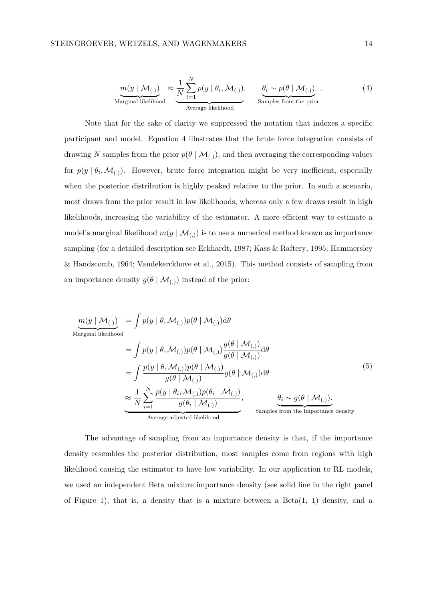$$
\underbrace{m(y \mid \mathcal{M}_{(.)})}_{\text{Marginal likelihood}} \approx \underbrace{\frac{1}{N} \sum_{i=1}^{N} p(y \mid \theta_i, \mathcal{M}_{(.)}),}_{\text{Average likelihood}}, \quad \underbrace{\theta_i \sim p(\theta \mid \mathcal{M}_{(.)})}_{\text{Samples from the prior}}.
$$
\n(4)

Note that for the sake of clarity we suppressed the notation that indexes a specific participant and model. Equation 4 illustrates that the brute force integration consists of drawing *N* samples from the prior  $p(\theta | \mathcal{M}_{(.)})$ , and then averaging the corresponding values for  $p(y | \theta_i, \mathcal{M}_{(.)})$ . However, brute force integration might be very inefficient, especially when the posterior distribution is highly peaked relative to the prior. In such a scenario, most draws from the prior result in low likelihoods, whereas only a few draws result in high likelihoods, increasing the variability of the estimator. A more efficient way to estimate a model's marginal likelihood  $m(y | \mathcal{M}_{(.)})$  is to use a numerical method known as importance sampling (for a detailed description see Eckhardt, 1987; Kass & Raftery, 1995; Hammersley & Handscomb, 1964; Vandekerckhove et al., 2015). This method consists of sampling from an importance density  $g(\theta \mid \mathcal{M}_{(.)})$  instead of the prior:

$$
\underline{m}(y \mid \mathcal{M}_{(.)}) = \int p(y \mid \theta, \mathcal{M}_{(.)}) p(\theta \mid \mathcal{M}_{(.)}) d\theta
$$
\n
$$
= \int p(y \mid \theta, \mathcal{M}_{(.)}) p(\theta \mid \mathcal{M}_{(.)}) \frac{g(\theta \mid \mathcal{M}_{(.)})}{g(\theta \mid \mathcal{M}_{(.)})} d\theta
$$
\n
$$
= \int \frac{p(y \mid \theta, \mathcal{M}_{(.)}) p(\theta \mid \mathcal{M}_{(.)})}{g(\theta \mid \mathcal{M}_{(.)})} g(\theta \mid \mathcal{M}_{(.)}) d\theta
$$
\n
$$
\approx \frac{1}{N} \sum_{i=1}^{N} \frac{p(y \mid \theta_i, \mathcal{M}_{(.)}) p(\theta_i \mid \mathcal{M}_{(.)})}{g(\theta_i \mid \mathcal{M}_{(.)})}, \qquad \underbrace{\theta_i \sim g(\theta \mid \mathcal{M}_{(.)})}_{\text{Average adjusted likelihood}}.
$$
\n(S)

The advantage of sampling from an importance density is that, if the importance density resembles the posterior distribution, most samples come from regions with high likelihood causing the estimator to have low variability. In our application to RL models, we used an independent Beta mixture importance density (see solid line in the right panel of Figure 1), that is, a density that is a mixture between a  $Beta(1, 1)$  density, and a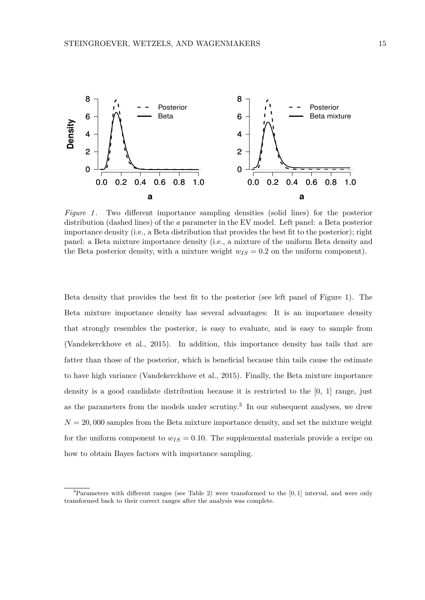

*Figure 1*. Two different importance sampling densities (solid lines) for the posterior distribution (dashed lines) of the *a* parameter in the EV model. Left panel: a Beta posterior importance density (i.e., a Beta distribution that provides the best fit to the posterior); right panel: a Beta mixture importance density (i.e., a mixture of the uniform Beta density and the Beta posterior density, with a mixture weight  $w_{IS} = 0.2$  on the uniform component).

Beta density that provides the best fit to the posterior (see left panel of Figure 1). The Beta mixture importance density has several advantages: It is an importance density that strongly resembles the posterior, is easy to evaluate, and is easy to sample from (Vandekerckhove et al., 2015). In addition, this importance density has tails that are fatter than those of the posterior, which is beneficial because thin tails cause the estimate to have high variance (Vandekerckhove et al., 2015). Finally, the Beta mixture importance density is a good candidate distribution because it is restricted to the [0, 1] range, just as the parameters from the models under scrutiny.<sup>3</sup> In our subsequent analyses, we drew  $N = 20,000$  samples from the Beta mixture importance density, and set the mixture weight for the uniform component to  $w_{IS} = 0.10$ . The supplemental materials provide a recipe on how to obtain Bayes factors with importance sampling.

<sup>3</sup>Parameters with different ranges (see Table 2) were transformed to the [0*,* 1] interval, and were only transformed back to their correct ranges after the analysis was complete.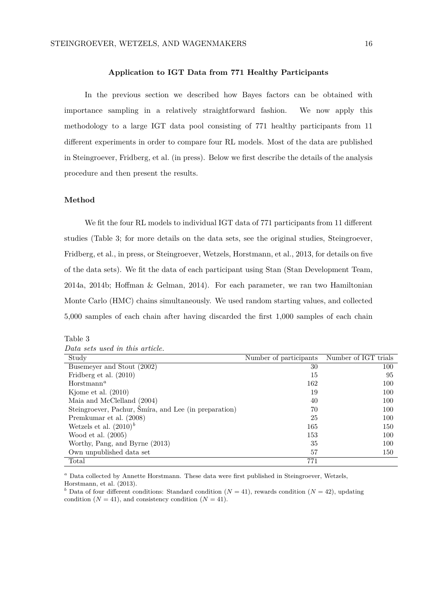## **Application to IGT Data from 771 Healthy Participants**

In the previous section we described how Bayes factors can be obtained with importance sampling in a relatively straightforward fashion. We now apply this methodology to a large IGT data pool consisting of 771 healthy participants from 11 different experiments in order to compare four RL models. Most of the data are published in Steingroever, Fridberg, et al. (in press). Below we first describe the details of the analysis procedure and then present the results.

## **Method**

We fit the four RL models to individual IGT data of 771 participants from 11 different studies (Table 3; for more details on the data sets, see the original studies, Steingroever, Fridberg, et al., in press, or Steingroever, Wetzels, Horstmann, et al., 2013, for details on five of the data sets). We fit the data of each participant using Stan (Stan Development Team, 2014a, 2014b; Hoffman & Gelman, 2014). For each parameter, we ran two Hamiltonian Monte Carlo (HMC) chains simultaneously. We used random starting values, and collected 5,000 samples of each chain after having discarded the first 1,000 samples of each chain

## Table 3

| Data sets used in this article. |  |
|---------------------------------|--|
|---------------------------------|--|

| Study                                                 | Number of participants | Number of IGT trials |
|-------------------------------------------------------|------------------------|----------------------|
| Busemeyer and Stout (2002)                            | 30                     | 100                  |
| Fridberg et al. (2010)                                | 15                     | 95                   |
| $H$ orstmann <sup>a</sup>                             | 162                    | 100                  |
| Kjome et al. $(2010)$                                 | 19                     | 100                  |
| Maia and McClelland (2004)                            | 40                     | 100                  |
| Steingroever, Pachur, Šmíra, and Lee (in preparation) | 70                     | 100                  |
| Premkumar et al. (2008)                               | 25                     | 100                  |
| Wetzels et al. $(2010)^b$                             | 165                    | 150                  |
| Wood et al. $(2005)$                                  | 153                    | 100                  |
| Worthy, Pang, and Byrne (2013)                        | 35                     | 100                  |
| Own unpublished data set                              | 57                     | 150                  |
| Total                                                 | 771                    |                      |

*<sup>a</sup>* Data collected by Annette Horstmann. These data were first published in Steingroever, Wetzels, Horstmann, et al. (2013).

<sup>*b*</sup> Data of four different conditions: Standard condition ( $N = 41$ ), rewards condition ( $N = 42$ ), updating condition  $(N = 41)$ , and consistency condition  $(N = 41)$ .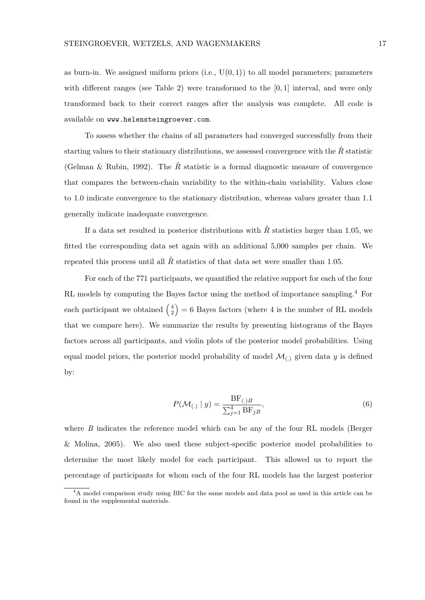as burn-in. We assigned uniform priors  $(i.e., U(0,1))$  to all model parameters; parameters with different ranges (see Table 2) were transformed to the [0*,* 1] interval, and were only transformed back to their correct ranges after the analysis was complete. All code is available on www.helensteingroever.com.

To assess whether the chains of all parameters had converged successfully from their starting values to their stationary distributions, we assessed convergence with the  $\hat{R}$  statistic (Gelman & Rubin, 1992). The  $\hat{R}$  statistic is a formal diagnostic measure of convergence that compares the between-chain variability to the within-chain variability. Values close to 1*.*0 indicate convergence to the stationary distribution, whereas values greater than 1*.*1 generally indicate inadequate convergence.

If a data set resulted in posterior distributions with  $\hat{R}$  statistics larger than 1.05, we fitted the corresponding data set again with an additional 5,000 samples per chain. We repeated this process until all  $\hat{R}$  statistics of that data set were smaller than 1.05.

For each of the 771 participants, we quantified the relative support for each of the four RL models by computing the Bayes factor using the method of importance sampling.<sup>4</sup> For each participant we obtained  $\begin{pmatrix} 4 \\ 2 \end{pmatrix}$  $\binom{4}{2}$  = 6 Bayes factors (where 4 is the number of RL models that we compare here). We summarize the results by presenting histograms of the Bayes factors across all participants, and violin plots of the posterior model probabilities. Using equal model priors, the posterior model probability of model  $\mathcal{M}_{\langle}$  given data *y* is defined by:

$$
P(\mathcal{M}_{(.)} \mid y) = \frac{\text{BF}_{(.)B}}{\sum_{j=1}^{4} \text{BF}_{jB}},\tag{6}
$$

where *B* indicates the reference model which can be any of the four RL models (Berger & Molina, 2005). We also used these subject-specific posterior model probabilities to determine the most likely model for each participant. This allowed us to report the percentage of participants for whom each of the four RL models has the largest posterior

<sup>&</sup>lt;sup>4</sup>A model comparison study using BIC for the same models and data pool as used in this article can be found in the supplemental materials.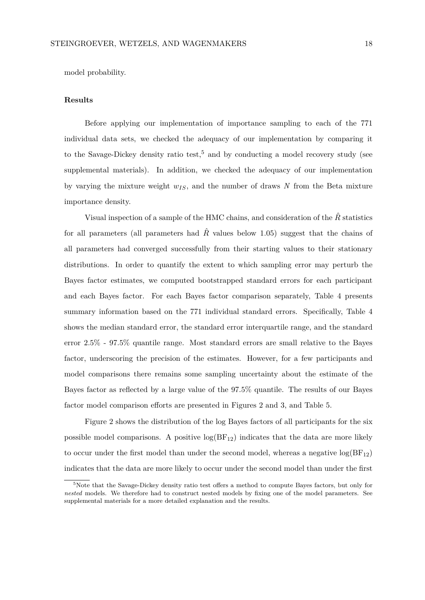model probability.

#### **Results**

Before applying our implementation of importance sampling to each of the 771 individual data sets, we checked the adequacy of our implementation by comparing it to the Savage-Dickey density ratio test,<sup>5</sup> and by conducting a model recovery study (see supplemental materials). In addition, we checked the adequacy of our implementation by varying the mixture weight *wIS*, and the number of draws *N* from the Beta mixture importance density.

Visual inspection of a sample of the HMC chains, and consideration of the  $\hat{R}$  statistics for all parameters (all parameters had  $\hat{R}$ <sup> $\alpha$ </sup> values below 1.05) suggest that the chains of all parameters had converged successfully from their starting values to their stationary distributions. In order to quantify the extent to which sampling error may perturb the Bayes factor estimates, we computed bootstrapped standard errors for each participant and each Bayes factor. For each Bayes factor comparison separately, Table 4 presents summary information based on the 771 individual standard errors. Specifically, Table 4 shows the median standard error, the standard error interquartile range, and the standard error 2.5% - 97.5% quantile range. Most standard errors are small relative to the Bayes factor, underscoring the precision of the estimates. However, for a few participants and model comparisons there remains some sampling uncertainty about the estimate of the Bayes factor as reflected by a large value of the 97.5% quantile. The results of our Bayes factor model comparison efforts are presented in Figures 2 and 3, and Table 5.

Figure 2 shows the distribution of the log Bayes factors of all participants for the six possible model comparisons. A positive  $log(BF_{12})$  indicates that the data are more likely to occur under the first model than under the second model, whereas a negative  $log(BF_{12})$ indicates that the data are more likely to occur under the second model than under the first

<sup>&</sup>lt;sup>5</sup>Note that the Savage-Dickey density ratio test offers a method to compute Bayes factors, but only for *nested* models. We therefore had to construct nested models by fixing one of the model parameters. See supplemental materials for a more detailed explanation and the results.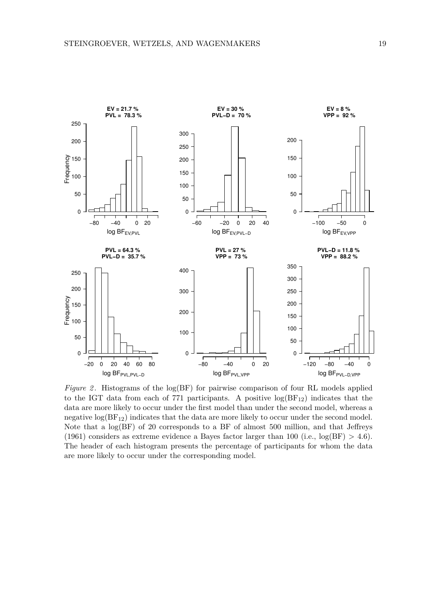

*Figure 2*. Histograms of the log(BF) for pairwise comparison of four RL models applied to the IGT data from each of 771 participants. A positive  $log(BF_{12})$  indicates that the data are more likely to occur under the first model than under the second model, whereas a negative  $log(BF_{12})$  indicates that the data are more likely to occur under the second model. Note that a log(BF) of 20 corresponds to a BF of almost 500 million, and that Jeffreys (1961) considers as extreme evidence a Bayes factor larger than 100 (i.e.,  $log(BF) > 4.6$ ). The header of each histogram presents the percentage of participants for whom the data are more likely to occur under the corresponding model.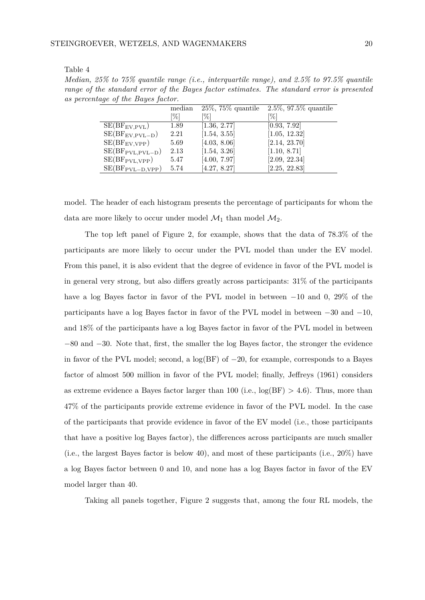| Table |  |
|-------|--|
|-------|--|

*Median, 25% to 75% quantile range (i.e., interquartile range), and 2.5% to 97.5% quantile range of the standard error of the Bayes factor estimates. The standard error is presented as percentage of the Bayes factor.*

|                      | median | $25\%$ , 75% quantile | $2.5\%$ , 97.5% quantile |
|----------------------|--------|-----------------------|--------------------------|
|                      | [%]    | [%]                   | [%]                      |
| $SE(BF_{EV,PVL})$    | 1.89   | [1.36, 2.77]          | [0.93, 7.92]             |
| $SE(BF_{EV,PVL-D})$  | 2.21   | [1.54, 3.55]          | [1.05, 12.32]            |
| $SE(BF_{EV,VPP})$    | 5.69   | [4.03, 8.06]          | [2.14, 23.70]            |
| $SE(BF_{PVL,PVL-D})$ | 2.13   | [1.54, 3.26]          | [1.10, 8.71]             |
| $SE(BF_{PVL,VPP})$   | 5.47   | [4.00, 7.97]          | [2.09, 22.34]            |
| $SE(BF_{PVL-D,VPP})$ | 5.74   | [4.27, 8.27]          | [2.25, 22.83]            |

model. The header of each histogram presents the percentage of participants for whom the data are more likely to occur under model  $\mathcal{M}_1$  than model  $\mathcal{M}_2$ .

The top left panel of Figure 2, for example, shows that the data of 78.3% of the participants are more likely to occur under the PVL model than under the EV model. From this panel, it is also evident that the degree of evidence in favor of the PVL model is in general very strong, but also differs greatly across participants: 31% of the participants have a log Bayes factor in favor of the PVL model in between −10 and 0, 29% of the participants have a log Bayes factor in favor of the PVL model in between −30 and −10, and 18% of the participants have a log Bayes factor in favor of the PVL model in between −80 and −30. Note that, first, the smaller the log Bayes factor, the stronger the evidence in favor of the PVL model; second, a  $log(BF)$  of  $-20$ , for example, corresponds to a Bayes factor of almost 500 million in favor of the PVL model; finally, Jeffreys (1961) considers as extreme evidence a Bayes factor larger than 100 (i.e.,  $log(BF) > 4.6$ ). Thus, more than 47% of the participants provide extreme evidence in favor of the PVL model. In the case of the participants that provide evidence in favor of the EV model (i.e., those participants that have a positive log Bayes factor), the differences across participants are much smaller (i.e., the largest Bayes factor is below 40), and most of these participants (i.e., 20%) have a log Bayes factor between 0 and 10, and none has a log Bayes factor in favor of the EV model larger than 40.

Taking all panels together, Figure 2 suggests that, among the four RL models, the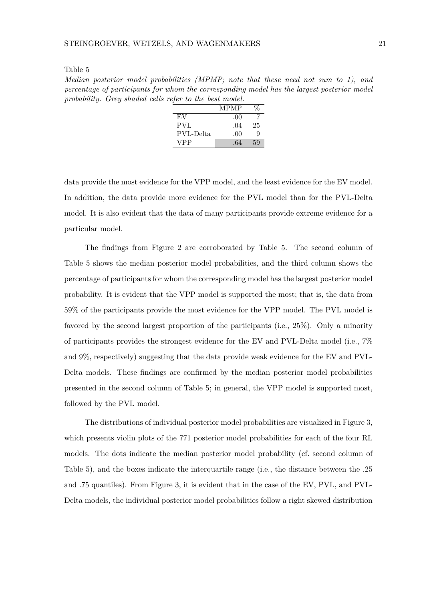Table 5

*Median posterior model probabilities (MPMP; note that these need not sum to 1), and percentage of participants for whom the corresponding model has the largest posterior model probability. Grey shaded cells refer to the best model.*

|            | <b>MPMP</b> |    |
|------------|-------------|----|
| EV         | .00         |    |
| PVL        | .04         | 25 |
| PVL-Delta  | .00         | Q  |
| <b>VPP</b> | .64         | 59 |

data provide the most evidence for the VPP model, and the least evidence for the EV model. In addition, the data provide more evidence for the PVL model than for the PVL-Delta model. It is also evident that the data of many participants provide extreme evidence for a particular model.

The findings from Figure 2 are corroborated by Table 5. The second column of Table 5 shows the median posterior model probabilities, and the third column shows the percentage of participants for whom the corresponding model has the largest posterior model probability. It is evident that the VPP model is supported the most; that is, the data from 59% of the participants provide the most evidence for the VPP model. The PVL model is favored by the second largest proportion of the participants (i.e., 25%). Only a minority of participants provides the strongest evidence for the EV and PVL-Delta model (i.e., 7% and 9%, respectively) suggesting that the data provide weak evidence for the EV and PVL-Delta models. These findings are confirmed by the median posterior model probabilities presented in the second column of Table 5; in general, the VPP model is supported most, followed by the PVL model.

The distributions of individual posterior model probabilities are visualized in Figure 3, which presents violin plots of the 771 posterior model probabilities for each of the four RL models. The dots indicate the median posterior model probability (cf. second column of Table 5), and the boxes indicate the interquartile range (i.e., the distance between the .25 and .75 quantiles). From Figure 3, it is evident that in the case of the EV, PVL, and PVL-Delta models, the individual posterior model probabilities follow a right skewed distribution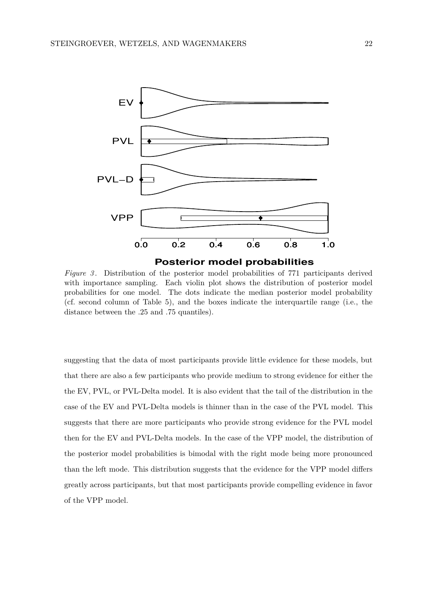

*Figure 3* . Distribution of the posterior model probabilities of 771 participants derived with importance sampling. Each violin plot shows the distribution of posterior model probabilities for one model. The dots indicate the median posterior model probability (cf. second column of Table 5), and the boxes indicate the interquartile range (i.e., the distance between the .25 and .75 quantiles).

suggesting that the data of most participants provide little evidence for these models, but that there are also a few participants who provide medium to strong evidence for either the the EV, PVL, or PVL-Delta model. It is also evident that the tail of the distribution in the case of the EV and PVL-Delta models is thinner than in the case of the PVL model. This suggests that there are more participants who provide strong evidence for the PVL model then for the EV and PVL-Delta models. In the case of the VPP model, the distribution of the posterior model probabilities is bimodal with the right mode being more pronounced than the left mode. This distribution suggests that the evidence for the VPP model differs greatly across participants, but that most participants provide compelling evidence in favor of the VPP model.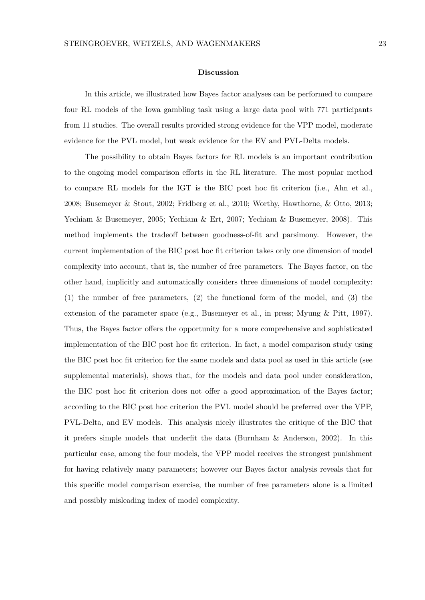#### **Discussion**

In this article, we illustrated how Bayes factor analyses can be performed to compare four RL models of the Iowa gambling task using a large data pool with 771 participants from 11 studies. The overall results provided strong evidence for the VPP model, moderate evidence for the PVL model, but weak evidence for the EV and PVL-Delta models.

The possibility to obtain Bayes factors for RL models is an important contribution to the ongoing model comparison efforts in the RL literature. The most popular method to compare RL models for the IGT is the BIC post hoc fit criterion (i.e., Ahn et al., 2008; Busemeyer & Stout, 2002; Fridberg et al., 2010; Worthy, Hawthorne, & Otto, 2013; Yechiam & Busemeyer, 2005; Yechiam & Ert, 2007; Yechiam & Busemeyer, 2008). This method implements the tradeoff between goodness-of-fit and parsimony. However, the current implementation of the BIC post hoc fit criterion takes only one dimension of model complexity into account, that is, the number of free parameters. The Bayes factor, on the other hand, implicitly and automatically considers three dimensions of model complexity: (1) the number of free parameters, (2) the functional form of the model, and (3) the extension of the parameter space (e.g., Busemeyer et al., in press; Myung & Pitt, 1997). Thus, the Bayes factor offers the opportunity for a more comprehensive and sophisticated implementation of the BIC post hoc fit criterion. In fact, a model comparison study using the BIC post hoc fit criterion for the same models and data pool as used in this article (see supplemental materials), shows that, for the models and data pool under consideration, the BIC post hoc fit criterion does not offer a good approximation of the Bayes factor; according to the BIC post hoc criterion the PVL model should be preferred over the VPP, PVL-Delta, and EV models. This analysis nicely illustrates the critique of the BIC that it prefers simple models that underfit the data (Burnham & Anderson, 2002). In this particular case, among the four models, the VPP model receives the strongest punishment for having relatively many parameters; however our Bayes factor analysis reveals that for this specific model comparison exercise, the number of free parameters alone is a limited and possibly misleading index of model complexity.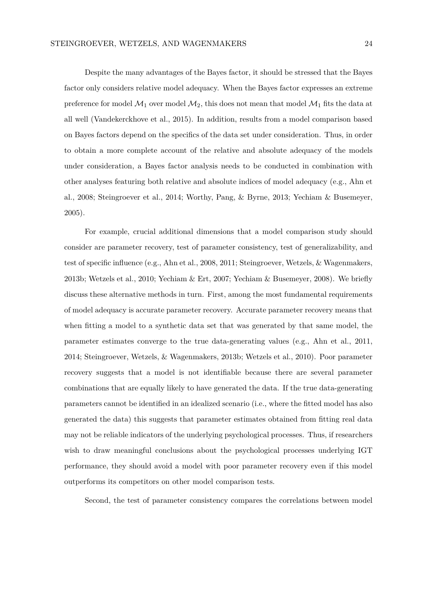Despite the many advantages of the Bayes factor, it should be stressed that the Bayes factor only considers relative model adequacy. When the Bayes factor expresses an extreme preference for model  $\mathcal{M}_1$  over model  $\mathcal{M}_2$ , this does not mean that model  $\mathcal{M}_1$  fits the data at all well (Vandekerckhove et al., 2015). In addition, results from a model comparison based on Bayes factors depend on the specifics of the data set under consideration. Thus, in order to obtain a more complete account of the relative and absolute adequacy of the models under consideration, a Bayes factor analysis needs to be conducted in combination with other analyses featuring both relative and absolute indices of model adequacy (e.g., Ahn et al., 2008; Steingroever et al., 2014; Worthy, Pang, & Byrne, 2013; Yechiam & Busemeyer, 2005).

For example, crucial additional dimensions that a model comparison study should consider are parameter recovery, test of parameter consistency, test of generalizability, and test of specific influence (e.g., Ahn et al., 2008, 2011; Steingroever, Wetzels, & Wagenmakers, 2013b; Wetzels et al., 2010; Yechiam & Ert, 2007; Yechiam & Busemeyer, 2008). We briefly discuss these alternative methods in turn. First, among the most fundamental requirements of model adequacy is accurate parameter recovery. Accurate parameter recovery means that when fitting a model to a synthetic data set that was generated by that same model, the parameter estimates converge to the true data-generating values (e.g., Ahn et al., 2011, 2014; Steingroever, Wetzels, & Wagenmakers, 2013b; Wetzels et al., 2010). Poor parameter recovery suggests that a model is not identifiable because there are several parameter combinations that are equally likely to have generated the data. If the true data-generating parameters cannot be identified in an idealized scenario (i.e., where the fitted model has also generated the data) this suggests that parameter estimates obtained from fitting real data may not be reliable indicators of the underlying psychological processes. Thus, if researchers wish to draw meaningful conclusions about the psychological processes underlying IGT performance, they should avoid a model with poor parameter recovery even if this model outperforms its competitors on other model comparison tests.

Second, the test of parameter consistency compares the correlations between model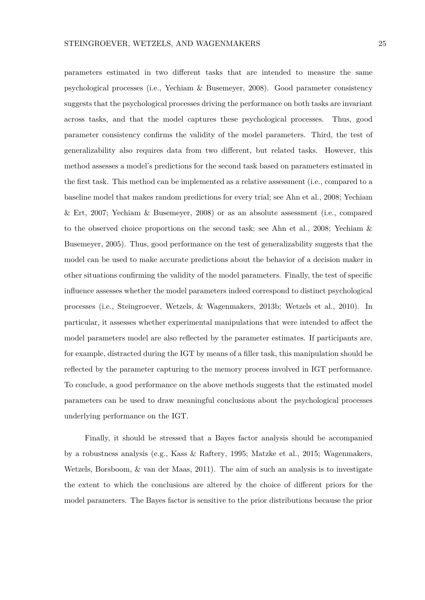parameters estimated in two different tasks that are intended to measure the same psychological processes (i.e., Yechiam & Busemeyer, 2008). Good parameter consistency suggests that the psychological processes driving the performance on both tasks are invariant across tasks, and that the model captures these psychological processes. Thus, good parameter consistency confirms the validity of the model parameters. Third, the test of generalizability also requires data from two different, but related tasks. However, this method assesses a model's predictions for the second task based on parameters estimated in the first task. This method can be implemented as a relative assessment (i.e., compared to a baseline model that makes random predictions for every trial; see Ahn et al., 2008; Yechiam & Ert, 2007; Yechiam & Busemeyer, 2008) or as an absolute assessment (i.e., compared to the observed choice proportions on the second task; see Ahn et al., 2008; Yechiam & Busemeyer, 2005). Thus, good performance on the test of generalizability suggests that the model can be used to make accurate predictions about the behavior of a decision maker in other situations confirming the validity of the model parameters. Finally, the test of specific influence assesses whether the model parameters indeed correspond to distinct psychological processes (i.e., Steingroever, Wetzels, & Wagenmakers, 2013b; Wetzels et al., 2010). In particular, it assesses whether experimental manipulations that were intended to affect the model parameters model are also reflected by the parameter estimates. If participants are, for example, distracted during the IGT by means of a filler task, this manipulation should be reflected by the parameter capturing to the memory process involved in IGT performance. To conclude, a good performance on the above methods suggests that the estimated model parameters can be used to draw meaningful conclusions about the psychological processes underlying performance on the IGT.

Finally, it should be stressed that a Bayes factor analysis should be accompanied by a robustness analysis (e.g., Kass & Raftery, 1995; Matzke et al., 2015; Wagenmakers, Wetzels, Borsboom, & van der Maas, 2011). The aim of such an analysis is to investigate the extent to which the conclusions are altered by the choice of different priors for the model parameters. The Bayes factor is sensitive to the prior distributions because the prior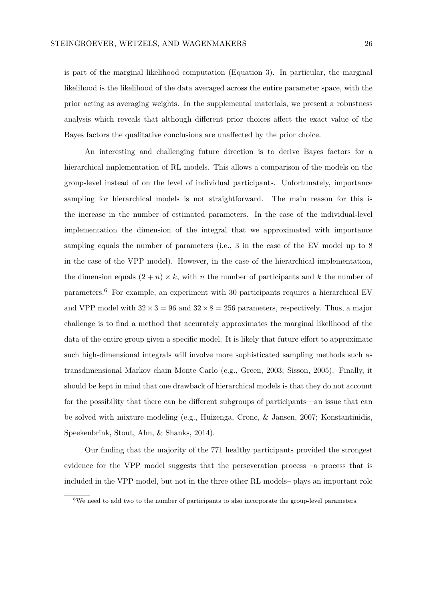is part of the marginal likelihood computation (Equation 3). In particular, the marginal likelihood is the likelihood of the data averaged across the entire parameter space, with the prior acting as averaging weights. In the supplemental materials, we present a robustness analysis which reveals that although different prior choices affect the exact value of the Bayes factors the qualitative conclusions are unaffected by the prior choice.

An interesting and challenging future direction is to derive Bayes factors for a hierarchical implementation of RL models. This allows a comparison of the models on the group-level instead of on the level of individual participants. Unfortunately, importance sampling for hierarchical models is not straightforward. The main reason for this is the increase in the number of estimated parameters. In the case of the individual-level implementation the dimension of the integral that we approximated with importance sampling equals the number of parameters (i.e., 3 in the case of the EV model up to 8 in the case of the VPP model). However, in the case of the hierarchical implementation, the dimension equals  $(2 + n) \times k$ , with *n* the number of participants and *k* the number of parameters.<sup>6</sup> For example, an experiment with 30 participants requires a hierarchical EV and VPP model with  $32 \times 3 = 96$  and  $32 \times 8 = 256$  parameters, respectively. Thus, a major challenge is to find a method that accurately approximates the marginal likelihood of the data of the entire group given a specific model. It is likely that future effort to approximate such high-dimensional integrals will involve more sophisticated sampling methods such as transdimensional Markov chain Monte Carlo (e.g., Green, 2003; Sisson, 2005). Finally, it should be kept in mind that one drawback of hierarchical models is that they do not account for the possibility that there can be different subgroups of participants—an issue that can be solved with mixture modeling (e.g., Huizenga, Crone, & Jansen, 2007; Konstantinidis, Speekenbrink, Stout, Ahn, & Shanks, 2014).

Our finding that the majority of the 771 healthy participants provided the strongest evidence for the VPP model suggests that the perseveration process –a process that is included in the VPP model, but not in the three other RL models– plays an important role

 $6$ We need to add two to the number of participants to also incorporate the group-level parameters.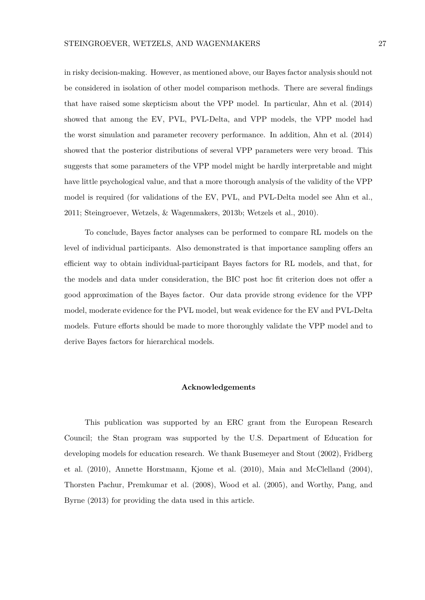in risky decision-making. However, as mentioned above, our Bayes factor analysis should not be considered in isolation of other model comparison methods. There are several findings that have raised some skepticism about the VPP model. In particular, Ahn et al. (2014) showed that among the EV, PVL, PVL-Delta, and VPP models, the VPP model had the worst simulation and parameter recovery performance. In addition, Ahn et al. (2014) showed that the posterior distributions of several VPP parameters were very broad. This suggests that some parameters of the VPP model might be hardly interpretable and might have little psychological value, and that a more thorough analysis of the validity of the VPP model is required (for validations of the EV, PVL, and PVL-Delta model see Ahn et al., 2011; Steingroever, Wetzels, & Wagenmakers, 2013b; Wetzels et al., 2010).

To conclude, Bayes factor analyses can be performed to compare RL models on the level of individual participants. Also demonstrated is that importance sampling offers an efficient way to obtain individual-participant Bayes factors for RL models, and that, for the models and data under consideration, the BIC post hoc fit criterion does not offer a good approximation of the Bayes factor. Our data provide strong evidence for the VPP model, moderate evidence for the PVL model, but weak evidence for the EV and PVL-Delta models. Future efforts should be made to more thoroughly validate the VPP model and to derive Bayes factors for hierarchical models.

## **Acknowledgements**

This publication was supported by an ERC grant from the European Research Council; the Stan program was supported by the U.S. Department of Education for developing models for education research. We thank Busemeyer and Stout (2002), Fridberg et al. (2010), Annette Horstmann, Kjome et al. (2010), Maia and McClelland (2004), Thorsten Pachur, Premkumar et al. (2008), Wood et al. (2005), and Worthy, Pang, and Byrne (2013) for providing the data used in this article.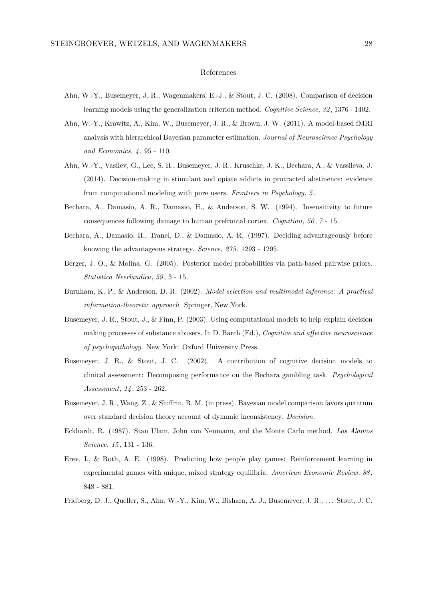#### References

- Ahn, W.-Y., Busemeyer, J. R., Wagenmakers, E.-J., & Stout, J. C. (2008). Comparison of decision learning models using the generalization criterion method. *Cognitive Science*, *32* , 1376 - 1402.
- Ahn, W.-Y., Krawitz, A., Kim, W., Busemeyer, J. R., & Brown, J. W. (2011). A model-based fMRI analysis with hierarchical Bayesian parameter estimation. *Journal of Neuroscience Psychology and Economics*, *4* , 95 - 110.
- Ahn, W.-Y., Vasilev, G., Lee, S. H., Busemeyer, J. R., Kruschke, J. K., Bechara, A., & Vassileva, J. (2014). Decision-making in stimulant and opiate addicts in protracted abstinence: evidence from computational modeling with pure users. *Frontiers in Psychology*, *5* .
- Bechara, A., Damasio, A. R., Damasio, H., & Anderson, S. W. (1994). Insensitivity to future consequences following damage to human prefrontal cortex. *Cognition*, *50* , 7 - 15.
- Bechara, A., Damasio, H., Tranel, D., & Damasio, A. R. (1997). Deciding advantageously before knowing the advantageous strategy. *Science*, *275* , 1293 - 1295.
- Berger, J. O., & Molina, G. (2005). Posterior model probabilities via path-based pairwise priors. *Statistica Neerlandica*, *59* , 3 - 15.
- Burnham, K. P., & Anderson, D. R. (2002). *Model selection and multimodel inference: A practical information-theoretic approach*. Springer, New York.
- Busemeyer, J. R., Stout, J., & Finn, P. (2003). Using computational models to help explain decision making processes of substance abusers. In D. Barch (Ed.), *Cognitive and affective neuroscience of psychopathology.* New York: Oxford University Press.
- Busemeyer, J. R., & Stout, J. C. (2002). A contribution of cognitive decision models to clinical assessment: Decomposing performance on the Bechara gambling task. *Psychological Assessment*, *14* , 253 - 262.
- Busemeyer, J. R., Wang, Z., & Shiffrin, R. M. (in press). Bayesian model comparison favors quantum over standard decision theory account of dynamic inconsistency. *Decision*.
- Eckhardt, R. (1987). Stan Ulam, John von Neumann, and the Monte Carlo method. *Los Alamos Science*, *15* , 131 - 136.
- Erev, I., & Roth, A. E. (1998). Predicting how people play games: Reinforcement learning in experimental games with unique, mixed strategy equilibria. *American Economic Review*, *88* , 848 - 881.
- Fridberg, D. J., Queller, S., Ahn, W.-Y., Kim, W., Bishara, A. J., Busemeyer, J. R., . . . Stout, J. C.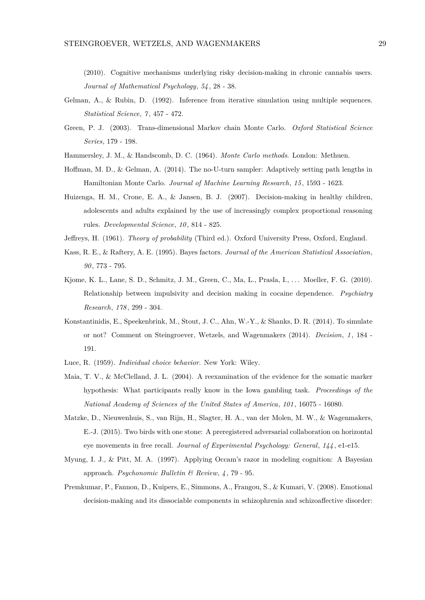(2010). Cognitive mechanisms underlying risky decision-making in chronic cannabis users. *Journal of Mathematical Psychology*, *54* , 28 - 38.

- Gelman, A., & Rubin, D. (1992). Inference from iterative simulation using multiple sequences. *Statistical Science*, *7* , 457 - 472.
- Green, P. J. (2003). Trans-dimensional Markov chain Monte Carlo. *Oxford Statistical Science Series*, 179 - 198.
- Hammersley, J. M., & Handscomb, D. C. (1964). *Monte Carlo methods*. London: Methuen.
- Hoffman, M. D., & Gelman, A. (2014). The no-U-turn sampler: Adaptively setting path lengths in Hamiltonian Monte Carlo. *Journal of Machine Learning Research*, *15* , 1593 - 1623.
- Huizenga, H. M., Crone, E. A., & Jansen, B. J. (2007). Decision-making in healthy children, adolescents and adults explained by the use of increasingly complex proportional reasoning rules. *Developmental Science*, *10* , 814 - 825.
- Jeffreys, H. (1961). *Theory of probability* (Third ed.). Oxford University Press, Oxford, England.
- Kass, R. E., & Raftery, A. E. (1995). Bayes factors. *Journal of the American Statistical Association*, *90* , 773 - 795.
- Kjome, K. L., Lane, S. D., Schmitz, J. M., Green, C., Ma, L., Prasla, I., . . . Moeller, F. G. (2010). Relationship between impulsivity and decision making in cocaine dependence. *Psychiatry Research*, *178* , 299 - 304.
- Konstantinidis, E., Speekenbrink, M., Stout, J. C., Ahn, W.-Y., & Shanks, D. R. (2014). To simulate or not? Comment on Steingroever, Wetzels, and Wagenmakers (2014). *Decision*, *1* , 184 - 191.
- Luce, R. (1959). *Individual choice behavior*. New York: Wiley.
- Maia, T. V., & McClelland, J. L. (2004). A reexamination of the evidence for the somatic marker hypothesis: What participants really know in the Iowa gambling task. *Proceedings of the National Academy of Sciences of the United States of America*, *101* , 16075 - 16080.
- Matzke, D., Nieuwenhuis, S., van Rijn, H., Slagter, H. A., van der Molen, M. W., & Wagenmakers, E.-J. (2015). Two birds with one stone: A preregistered adversarial collaboration on horizontal eye movements in free recall. *Journal of Experimental Psychology: General*, *144* , e1-e15.
- Myung, I. J., & Pitt, M. A. (1997). Applying Occam's razor in modeling cognition: A Bayesian approach. *Psychonomic Bulletin & Review*, *4* , 79 - 95.
- Premkumar, P., Fannon, D., Kuipers, E., Simmons, A., Frangou, S., & Kumari, V. (2008). Emotional decision-making and its dissociable components in schizophrenia and schizoaffective disorder: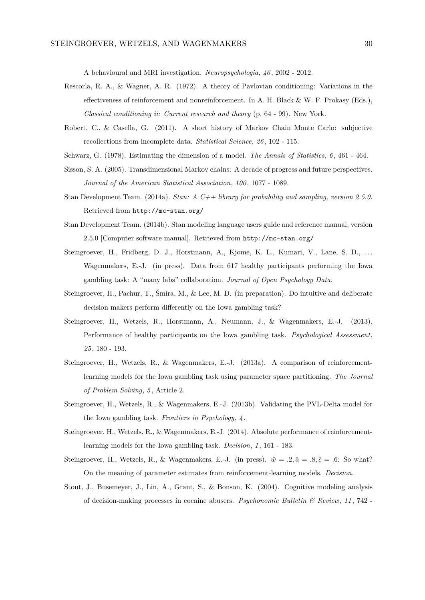A behavioural and MRI investigation. *Neuropsychologia*, *46* , 2002 - 2012.

- Rescorla, R. A., & Wagner, A. R. (1972). A theory of Pavlovian conditioning: Variations in the effectiveness of reinforcement and nonreinforcement. In A. H. Black & W. F. Prokasy (Eds.), *Classical conditioning ii: Current research and theory* (p. 64 - 99). New York.
- Robert, C., & Casella, G. (2011). A short history of Markov Chain Monte Carlo: subjective recollections from incomplete data. *Statistical Science*, *26* , 102 - 115.
- Schwarz, G. (1978). Estimating the dimension of a model. *The Annals of Statistics*, *6* , 461 464.
- Sisson, S. A. (2005). Transdimensional Markov chains: A decade of progress and future perspectives. *Journal of the American Statistical Association*, *100* , 1077 - 1089.
- Stan Development Team. (2014a). *Stan: A C++ library for probability and sampling, version 2.5.0.* Retrieved from http://mc-stan.org/
- Stan Development Team. (2014b). Stan modeling language users guide and reference manual, version 2.5.0 [Computer software manual]. Retrieved from http://mc-stan.org/
- Steingroever, H., Fridberg, D. J., Horstmann, A., Kjome, K. L., Kumari, V., Lane, S. D., ... Wagenmakers, E.-J. (in press). Data from 617 healthy participants performing the Iowa gambling task: A "many labs" collaboration. *Journal of Open Psychology Data*.
- Steingroever, H., Pachur, T., Šmíra, M., & Lee, M. D. (in preparation). Do intuitive and deliberate decision makers perform differently on the Iowa gambling task?
- Steingroever, H., Wetzels, R., Horstmann, A., Neumann, J., & Wagenmakers, E.-J. (2013). Performance of healthy participants on the Iowa gambling task. *Psychological Assessment*, *25* , 180 - 193.
- Steingroever, H., Wetzels, R., & Wagenmakers, E.-J. (2013a). A comparison of reinforcementlearning models for the Iowa gambling task using parameter space partitioning. *The Journal of Problem Solving*, *5* , Article 2.
- Steingroever, H., Wetzels, R., & Wagenmakers, E.-J. (2013b). Validating the PVL-Delta model for the Iowa gambling task. *Frontiers in Psychology*, *4* .
- Steingroever, H., Wetzels, R., & Wagenmakers, E.-J. (2014). Absolute performance of reinforcementlearning models for the Iowa gambling task. *Decision*, *1* , 161 - 183.
- Steingroever, H., Wetzels, R., & Wagenmakers, E.-J. (in press).  $\hat{w} = .2, \hat{a} = .8, \hat{c} = .6$ : So what? On the meaning of parameter estimates from reinforcement-learning models. *Decision*.
- Stout, J., Busemeyer, J., Lin, A., Grant, S., & Bonson, K. (2004). Cognitive modeling analysis of decision-making processes in cocaine abusers. *Psychonomic Bulletin & Review*, *11* , 742 -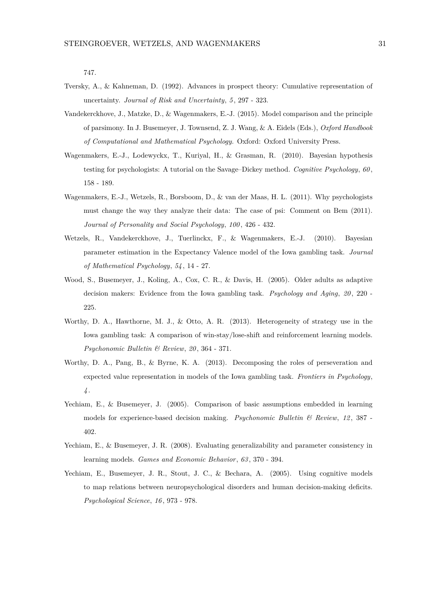747.

- Tversky, A., & Kahneman, D. (1992). Advances in prospect theory: Cumulative representation of uncertainty. *Journal of Risk and Uncertainty*, *5* , 297 - 323.
- Vandekerckhove, J., Matzke, D., & Wagenmakers, E.-J. (2015). Model comparison and the principle of parsimony. In J. Busemeyer, J. Townsend, Z. J. Wang, & A. Eidels (Eds.), *Oxford Handbook of Computational and Mathematical Psychology.* Oxford: Oxford University Press.
- Wagenmakers, E.-J., Lodewyckx, T., Kuriyal, H., & Grasman, R. (2010). Bayesian hypothesis testing for psychologists: A tutorial on the Savage–Dickey method. *Cognitive Psychology*, *60* , 158 - 189.
- Wagenmakers, E.-J., Wetzels, R., Borsboom, D., & van der Maas, H. L. (2011). Why psychologists must change the way they analyze their data: The case of psi: Comment on Bem (2011). *Journal of Personality and Social Psychology*, *100* , 426 - 432.
- Wetzels, R., Vandekerckhove, J., Tuerlinckx, F., & Wagenmakers, E.-J. (2010). Bayesian parameter estimation in the Expectancy Valence model of the Iowa gambling task. *Journal of Mathematical Psychology*, *54* , 14 - 27.
- Wood, S., Busemeyer, J., Koling, A., Cox, C. R., & Davis, H. (2005). Older adults as adaptive decision makers: Evidence from the Iowa gambling task. *Psychology and Aging*, 20, 220 -225.
- Worthy, D. A., Hawthorne, M. J., & Otto, A. R. (2013). Heterogeneity of strategy use in the Iowa gambling task: A comparison of win-stay/lose-shift and reinforcement learning models. *Psychonomic Bulletin & Review*, *20* , 364 - 371.
- Worthy, D. A., Pang, B., & Byrne, K. A. (2013). Decomposing the roles of perseveration and expected value representation in models of the Iowa gambling task. *Frontiers in Psychology*, *4* .
- Yechiam, E., & Busemeyer, J. (2005). Comparison of basic assumptions embedded in learning models for experience-based decision making. *Psychonomic Bulletin & Review*, *12* , 387 - 402.
- Yechiam, E., & Busemeyer, J. R. (2008). Evaluating generalizability and parameter consistency in learning models. *Games and Economic Behavior*, *63* , 370 - 394.
- Yechiam, E., Busemeyer, J. R., Stout, J. C., & Bechara, A. (2005). Using cognitive models to map relations between neuropsychological disorders and human decision-making deficits. *Psychological Science*, *16* , 973 - 978.